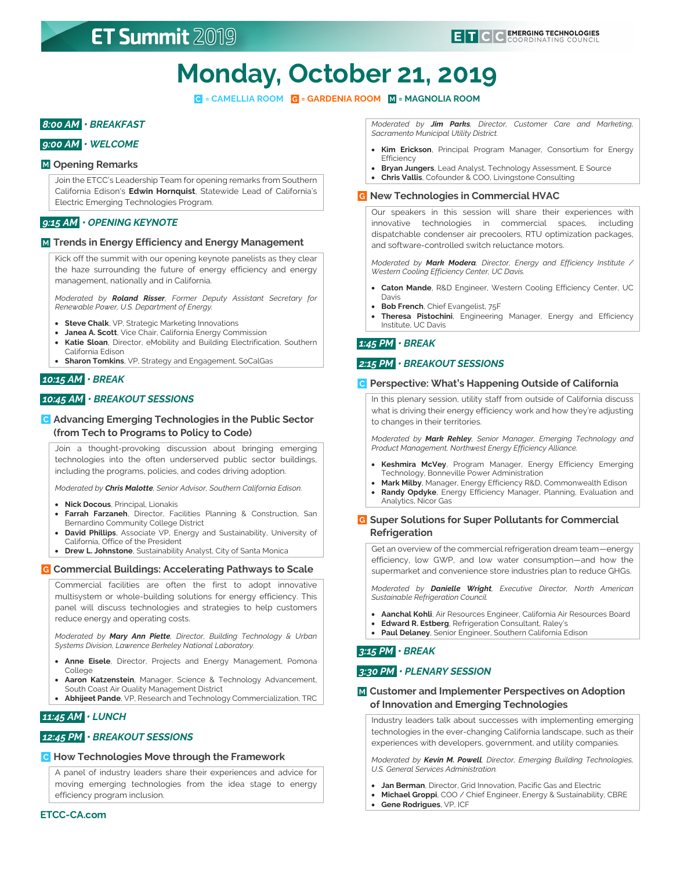# **Monday, October 21, 2019**

**= CAMELLIA ROOM = GARDENIA ROOM = MAGNOLIA ROOM**

## *8:00 AM • BREAKFAST*

## *9:00 AM • WELCOME*

### **Opening Remarks**

Join the ETCC's Leadership Team for opening remarks from Southern California Edison's **Edwin Hornquist**, Statewide Lead of California's Electric Emerging Technologies Program.

## *9:15 AM • OPENING KEYNOTE*

### **Trends in Energy Efficiency and Energy Management**

Kick off the summit with our opening keynote panelists as they clear the haze surrounding the future of energy efficiency and energy management, nationally and in California.

*Moderated by Roland Risser, Former Deputy Assistant Secretary for Renewable Power, U.S. Department of Energy.*

- **Steve Chalk**, VP, Strategic Marketing Innovations
- **Janea A. Scott**, Vice Chair, California Energy Commission
- **Katie Sloan**, Director, eMobility and Building Electrification, Southern California Edison
- **Sharon Tomkins**, VP, Strategy and Engagement, SoCalGas

## *10:15 AM • BREAK*

## *10:45 AM • BREAKOUT SESSIONS*

## **Advancing Emerging Technologies in the Public Sector (from Tech to Programs to Policy to Code)**

Join a thought-provoking discussion about bringing emerging technologies into the often underserved public sector buildings, including the programs, policies, and codes driving adoption.

*Moderated by Chris Malotte, Senior Advisor, Southern California Edison.*

- **Nick Docous**, Principal, Lionakis
- **Farrah Farzaneh**, Director, Facilities Planning & Construction, San Bernardino Community College District
- **David Phillips**, Associate VP, Energy and Sustainability, University of California, Office of the President
- **Drew L. Johnstone**, Sustainability Analyst, City of Santa Monica

### **Commercial Buildings: Accelerating Pathways to Scale**

Commercial facilities are often the first to adopt innovative multisystem or whole-building solutions for energy efficiency. This panel will discuss technologies and strategies to help customers reduce energy and operating costs.

*Moderated by Mary Ann Piette, Director, Building Technology & Urban Systems Division, Lawrence Berkeley National Laboratory.*

- **Anne Eisele**, Director, Projects and Energy Management, Pomona College
- **Aaron Katzenstein**, Manager, Science & Technology Advancement, South Coast Air Quality Management District
- **Abhijeet Pande**, VP, Research and Technology Commercialization, TRC

## *11:45 AM • LUNCH*

### *12:45 PM • BREAKOUT SESSIONS*

### **How Technologies Move through the Framework**

A panel of industry leaders share their experiences and advice for moving emerging technologies from the idea stage to energy efficiency program inclusion.

*Moderated by Jim Parks, Director, Customer Care and Marketing, Sacramento Municipal Utility District.*

- **Kim Erickson**, Principal Program Manager, Consortium for Energy **Efficiency**
- **Bryan Jungers**, Lead Analyst, Technology Assessment, E Source
- **Chris Vallis**, Cofounder & COO, Livingstone Consulting

### **New Technologies in Commercial HVAC**

Our speakers in this session will share their experiences with innovative technologies in commercial spaces, including dispatchable condenser air precoolers, RTU optimization packages, and software-controlled switch reluctance motors.

*Moderated by Mark Modera, Director, Energy and Efficiency Institute / Western Cooling Efficiency Center, UC Davis.*

- **Caton Mande**, R&D Engineer, Western Cooling Efficiency Center, UC Davis
- **Bob French**, Chief Evangelist, 75F
- **Theresa Pistochini**, Engineering Manager, Energy and Efficiency Institute, UC Davis

## *1:45 PM • BREAK*

## *2:15 PM • BREAKOUT SESSIONS*

### **Perspective: What's Happening Outside of California**

In this plenary session, utility staff from outside of California discuss what is driving their energy efficiency work and how they're adjusting to changes in their territories.

*Moderated by Mark Rehley, Senior Manager, Emerging Technology and Product Management, Northwest Energy Efficiency Alliance.*

- **Keshmira McVey**, Program Manager, Energy Efficiency Emerging Technology, Bonneville Power Administration
- **Mark Milby**, Manager, Energy Efficiency R&D, Commonwealth Edison • **Randy Opdyke**, Energy Efficiency Manager, Planning, Evaluation and
- Analytics, Nicor Gas

## **Super Solutions for Super Pollutants for Commercial Refrigeration**

Get an overview of the commercial refrigeration dream team—energy efficiency, low GWP, and low water consumption—and how the supermarket and convenience store industries plan to reduce GHGs.

*Moderated by Danielle Wright, Executive Director, North American Sustainable Refrigeration Council.*

- **Aanchal Kohli**, Air Resources Engineer, California Air Resources Board
- **Edward R. Estberg**, Refrigeration Consultant, Raley's
- **Paul Delaney**, Senior Engineer, Southern California Edison

## *3:15 PM • BREAK*

## *3:30 PM • PLENARY SESSION*

### **Customer and Implementer Perspectives on Adoption of Innovation and Emerging Technologies**

Industry leaders talk about successes with implementing emerging technologies in the ever-changing California landscape, such as their experiences with developers, government, and utility companies.

*Moderated by Kevin M. Powell, Director, Emerging Building Technologies, U.S. General Services Administration.*

- **Jan Berman**, Director, Grid Innovation, Pacific Gas and Electric
- **Michael Groppi**, COO / Chief Engineer, Energy & Sustainability, CBRE
- **Gene Rodrigues**, VP, ICF